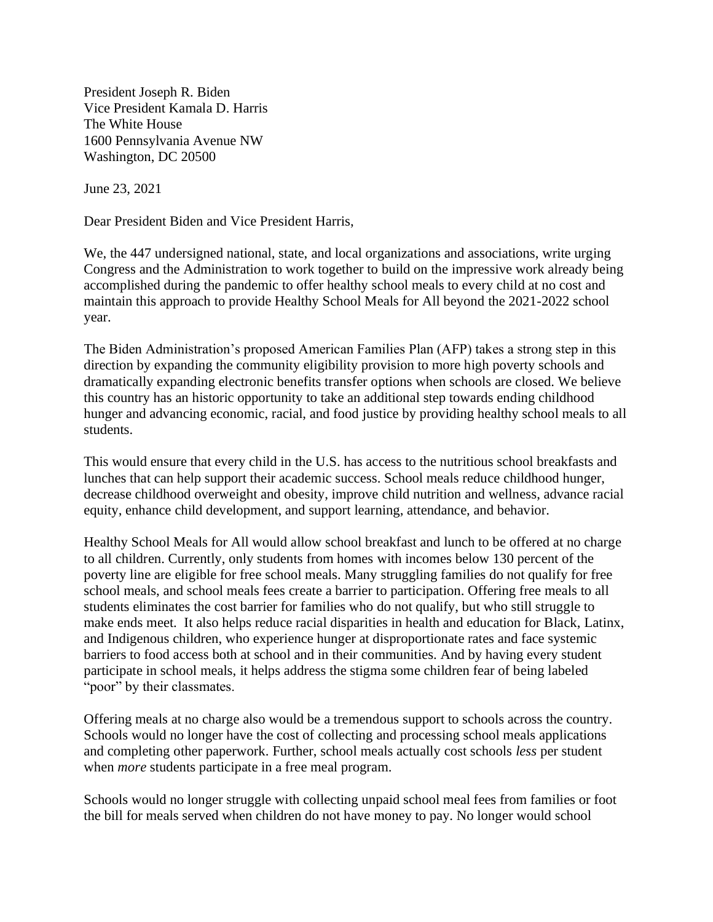President Joseph R. Biden Vice President Kamala D. Harris The White House 1600 Pennsylvania Avenue NW Washington, DC 20500

June 23, 2021

Dear President Biden and Vice President Harris,

We, the 447 undersigned national, state, and local organizations and associations, write urging Congress and the Administration to work together to build on the impressive work already being accomplished during the pandemic to offer healthy school meals to every child at no cost and maintain this approach to provide Healthy School Meals for All beyond the 2021-2022 school year.

The Biden Administration's proposed American Families Plan (AFP) takes a strong step in this direction by expanding the community eligibility provision to more high poverty schools and dramatically expanding electronic benefits transfer options when schools are closed. We believe this country has an historic opportunity to take an additional step towards ending childhood hunger and advancing economic, racial, and food justice by providing healthy school meals to all students.

This would ensure that every child in the U.S. has access to the nutritious school breakfasts and lunches that can help support their academic success. School meals reduce childhood hunger, decrease childhood overweight and obesity, improve child nutrition and wellness, advance racial equity, enhance child development, and support learning, attendance, and behavior.

Healthy School Meals for All would allow school breakfast and lunch to be offered at no charge to all children. Currently, only students from homes with incomes below 130 percent of the poverty line are eligible for free school meals. Many struggling families do not qualify for free school meals, and school meals fees create a barrier to participation. Offering free meals to all students eliminates the cost barrier for families who do not qualify, but who still struggle to make ends meet. It also helps reduce racial disparities in health and education for Black, Latinx, and Indigenous children, who experience hunger at disproportionate rates and face systemic barriers to food access both at school and in their communities. And by having every student participate in school meals, it helps address the stigma some children fear of being labeled "poor" by their classmates.

Offering meals at no charge also would be a tremendous support to schools across the country. Schools would no longer have the cost of collecting and processing school meals applications and completing other paperwork. Further, school meals actually cost schools *less* per student when *more* students participate in a free meal program.

Schools would no longer struggle with collecting unpaid school meal fees from families or foot the bill for meals served when children do not have money to pay. No longer would school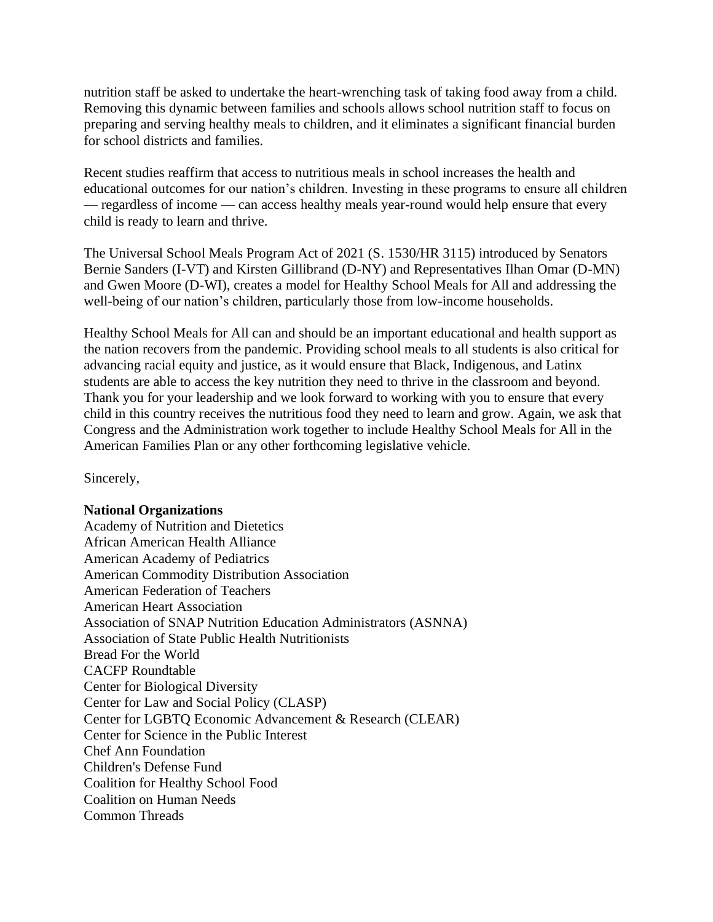nutrition staff be asked to undertake the heart-wrenching task of taking food away from a child. Removing this dynamic between families and schools allows school nutrition staff to focus on preparing and serving healthy meals to children, and it eliminates a significant financial burden for school districts and families.

Recent studies reaffirm that access to nutritious meals in school increases the health and educational outcomes for our nation's children. Investing in these programs to ensure all children — regardless of income — can access healthy meals year-round would help ensure that every child is ready to learn and thrive.

The Universal School Meals Program Act of 2021 (S. 1530/HR 3115) introduced by Senators Bernie Sanders (I-VT) and Kirsten Gillibrand (D-NY) and Representatives Ilhan Omar (D-MN) and Gwen Moore (D-WI), creates a model for Healthy School Meals for All and addressing the well-being of our nation's children, particularly those from low-income households.

Healthy School Meals for All can and should be an important educational and health support as the nation recovers from the pandemic. Providing school meals to all students is also critical for advancing racial equity and justice, as it would ensure that Black, Indigenous, and Latinx students are able to access the key nutrition they need to thrive in the classroom and beyond. Thank you for your leadership and we look forward to working with you to ensure that every child in this country receives the nutritious food they need to learn and grow. Again, we ask that Congress and the Administration work together to include Healthy School Meals for All in the American Families Plan or any other forthcoming legislative vehicle.

Sincerely,

## **National Organizations**

Academy of Nutrition and Dietetics African American Health Alliance American Academy of Pediatrics American Commodity Distribution Association American Federation of Teachers American Heart Association Association of SNAP Nutrition Education Administrators (ASNNA) Association of State Public Health Nutritionists Bread For the World CACFP Roundtable Center for Biological Diversity Center for Law and Social Policy (CLASP) Center for LGBTQ Economic Advancement & Research (CLEAR) Center for Science in the Public Interest Chef Ann Foundation Children's Defense Fund Coalition for Healthy School Food Coalition on Human Needs Common Threads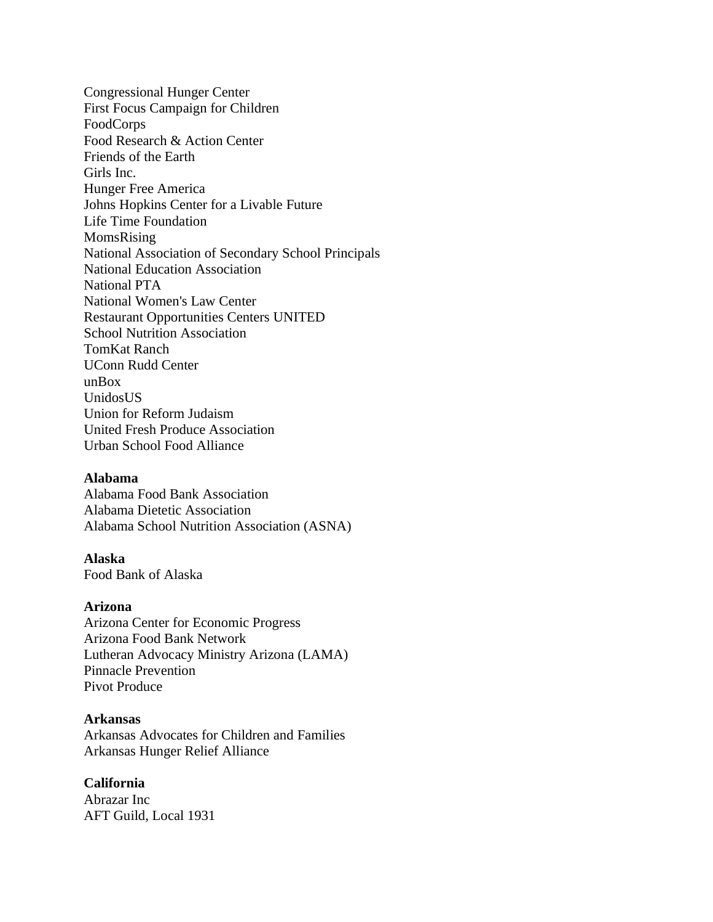Congressional Hunger Center First Focus Campaign for Children FoodCorps Food Research & Action Center Friends of the Earth Girls Inc. Hunger Free America Johns Hopkins Center for a Livable Future Life Time Foundation MomsRising National Association of Secondary School Principals National Education Association National PTA National Women's Law Center Restaurant Opportunities Centers UNITED School Nutrition Association TomKat Ranch UConn Rudd Center unBox UnidosUS Union for Reform Judaism United Fresh Produce Association Urban School Food Alliance

## **Alabama**

Alabama Food Bank Association Alabama Dietetic Association Alabama School Nutrition Association (ASNA)

# **Alaska**

Food Bank of Alaska

#### **Arizona**

Arizona Center for Economic Progress Arizona Food Bank Network Lutheran Advocacy Ministry Arizona (LAMA) Pinnacle Prevention Pivot Produce

### **Arkansas**

Arkansas Advocates for Children and Families Arkansas Hunger Relief Alliance

# **California**

Abrazar Inc AFT Guild, Local 1931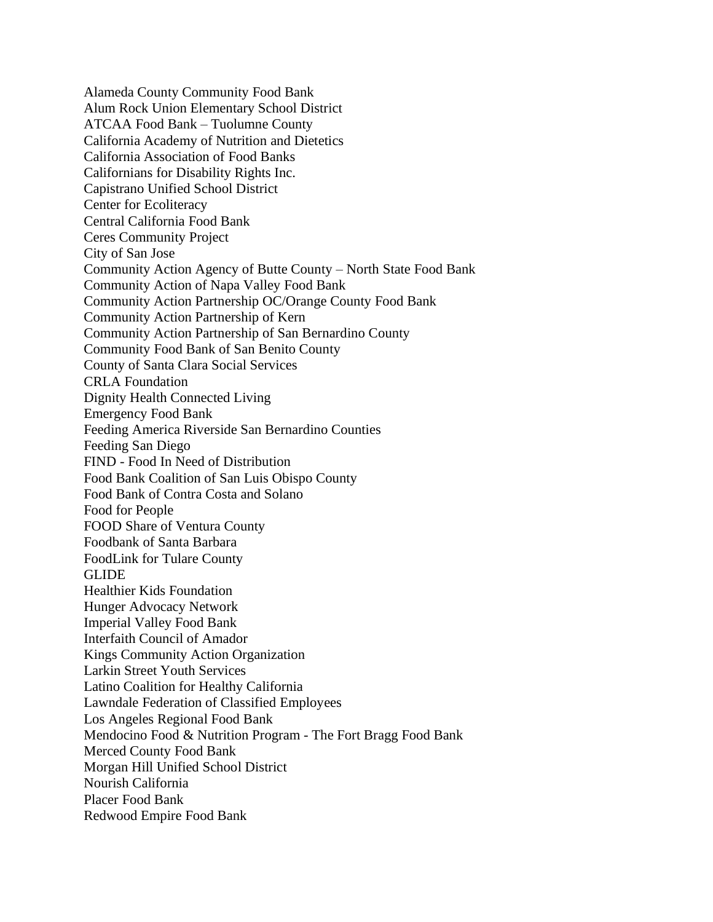Alameda County Community Food Bank Alum Rock Union Elementary School District ATCAA Food Bank – Tuolumne County California Academy of Nutrition and Dietetics California Association of Food Banks Californians for Disability Rights Inc. Capistrano Unified School District Center for Ecoliteracy Central California Food Bank Ceres Community Project City of San Jose Community Action Agency of Butte County – North State Food Bank Community Action of Napa Valley Food Bank Community Action Partnership OC/Orange County Food Bank Community Action Partnership of Kern Community Action Partnership of San Bernardino County Community Food Bank of San Benito County County of Santa Clara Social Services CRLA Foundation Dignity Health Connected Living Emergency Food Bank Feeding America Riverside San Bernardino Counties Feeding San Diego FIND - Food In Need of Distribution Food Bank Coalition of San Luis Obispo County Food Bank of Contra Costa and Solano Food for People FOOD Share of Ventura County Foodbank of Santa Barbara FoodLink for Tulare County GLIDE Healthier Kids Foundation Hunger Advocacy Network Imperial Valley Food Bank Interfaith Council of Amador Kings Community Action Organization Larkin Street Youth Services Latino Coalition for Healthy California Lawndale Federation of Classified Employees Los Angeles Regional Food Bank Mendocino Food & Nutrition Program - The Fort Bragg Food Bank Merced County Food Bank Morgan Hill Unified School District Nourish California Placer Food Bank Redwood Empire Food Bank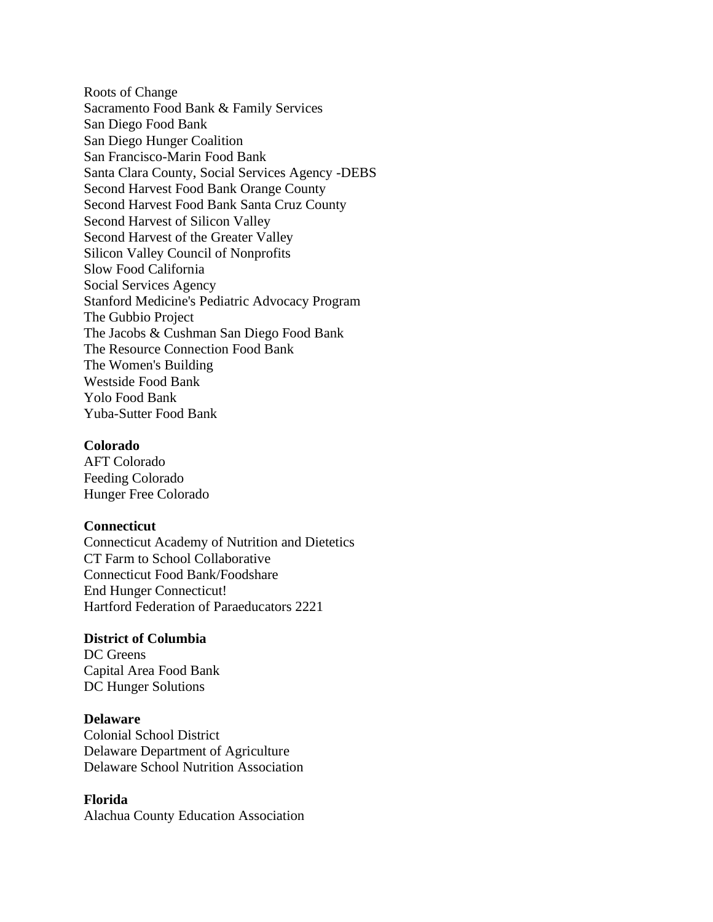Roots of Change Sacramento Food Bank & Family Services San Diego Food Bank San Diego Hunger Coalition San Francisco-Marin Food Bank Santa Clara County, Social Services Agency -DEBS Second Harvest Food Bank Orange County Second Harvest Food Bank Santa Cruz County Second Harvest of Silicon Valley Second Harvest of the Greater Valley Silicon Valley Council of Nonprofits Slow Food California Social Services Agency Stanford Medicine's Pediatric Advocacy Program The Gubbio Project The Jacobs & Cushman San Diego Food Bank The Resource Connection Food Bank The Women's Building Westside Food Bank Yolo Food Bank Yuba-Sutter Food Bank

#### **Colorado**

AFT Colorado Feeding Colorado Hunger Free Colorado

#### **Connecticut**

Connecticut Academy of Nutrition and Dietetics CT Farm to School Collaborative Connecticut Food Bank/Foodshare End Hunger Connecticut! Hartford Federation of Paraeducators 2221

#### **District of Columbia**

DC Greens Capital Area Food Bank DC Hunger Solutions

#### **Delaware**

Colonial School District Delaware Department of Agriculture Delaware School Nutrition Association

## **Florida**

Alachua County Education Association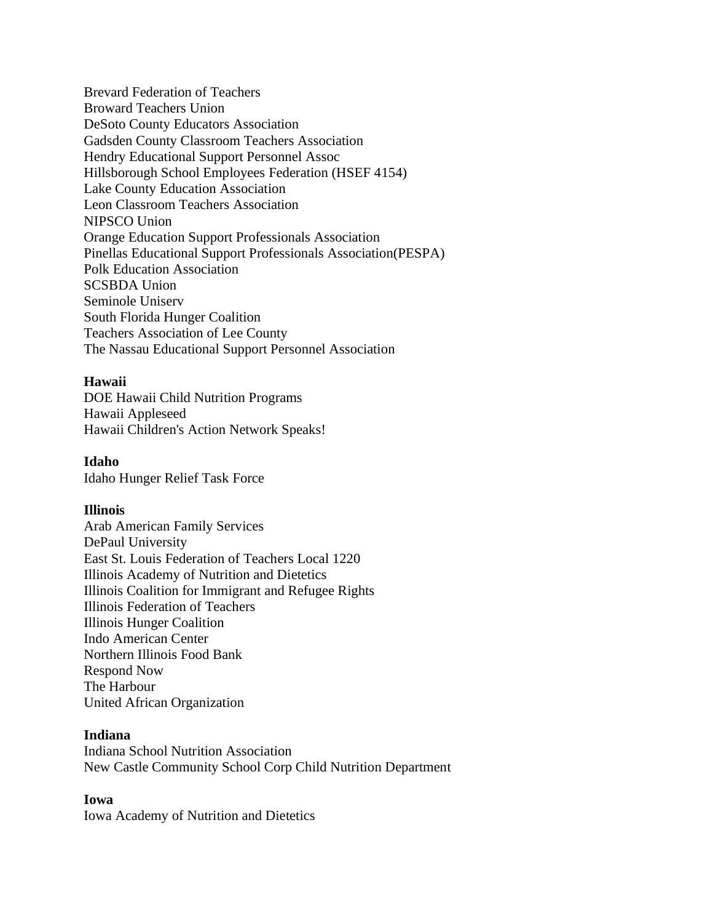Brevard Federation of Teachers Broward Teachers Union DeSoto County Educators Association Gadsden County Classroom Teachers Association Hendry Educational Support Personnel Assoc Hillsborough School Employees Federation (HSEF 4154) Lake County Education Association Leon Classroom Teachers Association NIPSCO Union Orange Education Support Professionals Association Pinellas Educational Support Professionals Association(PESPA) Polk Education Association SCSBDA Union Seminole Uniserv South Florida Hunger Coalition Teachers Association of Lee County The Nassau Educational Support Personnel Association

# **Hawaii**

DOE Hawaii Child Nutrition Programs Hawaii Appleseed Hawaii Children's Action Network Speaks!

**Idaho** Idaho Hunger Relief Task Force

# **Illinois**

Arab American Family Services DePaul University East St. Louis Federation of Teachers Local 1220 Illinois Academy of Nutrition and Dietetics Illinois Coalition for Immigrant and Refugee Rights Illinois Federation of Teachers Illinois Hunger Coalition Indo American Center Northern Illinois Food Bank Respond Now The Harbour United African Organization

## **Indiana**

Indiana School Nutrition Association New Castle Community School Corp Child Nutrition Department

# **Iowa**

Iowa Academy of Nutrition and Dietetics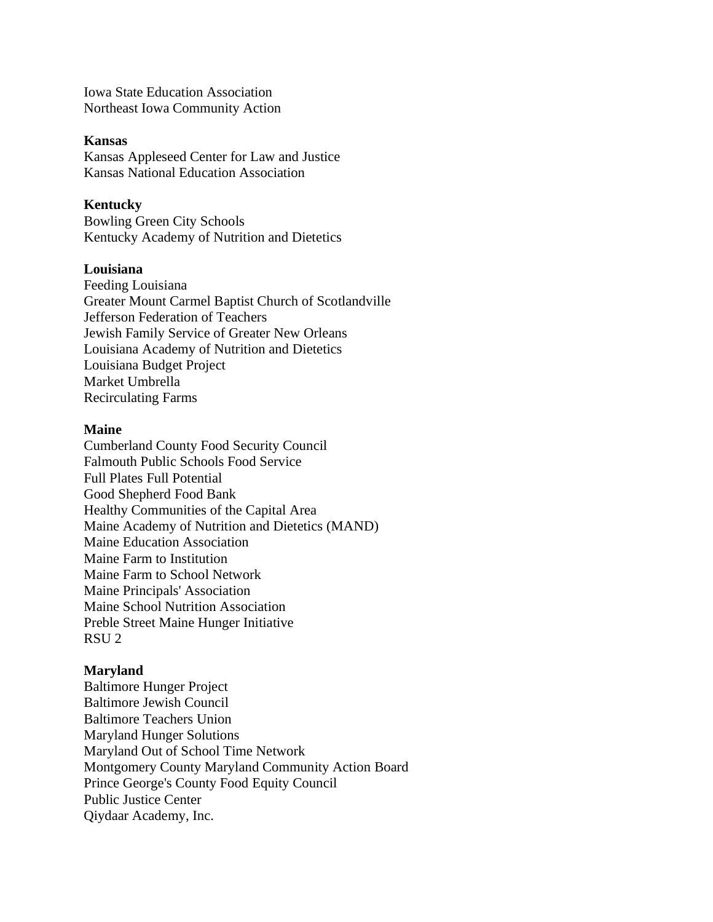Iowa State Education Association Northeast Iowa Community Action

# **Kansas**

Kansas Appleseed Center for Law and Justice Kansas National Education Association

# **Kentucky**

Bowling Green City Schools Kentucky Academy of Nutrition and Dietetics

# **Louisiana**

Feeding Louisiana Greater Mount Carmel Baptist Church of Scotlandville Jefferson Federation of Teachers Jewish Family Service of Greater New Orleans Louisiana Academy of Nutrition and Dietetics Louisiana Budget Project Market Umbrella Recirculating Farms

# **Maine**

Cumberland County Food Security Council Falmouth Public Schools Food Service Full Plates Full Potential Good Shepherd Food Bank Healthy Communities of the Capital Area Maine Academy of Nutrition and Dietetics (MAND) Maine Education Association Maine Farm to Institution Maine Farm to School Network Maine Principals' Association Maine School Nutrition Association Preble Street Maine Hunger Initiative RSU 2

### **Maryland**

Baltimore Hunger Project Baltimore Jewish Council Baltimore Teachers Union Maryland Hunger Solutions Maryland Out of School Time Network Montgomery County Maryland Community Action Board Prince George's County Food Equity Council Public Justice Center Qiydaar Academy, Inc.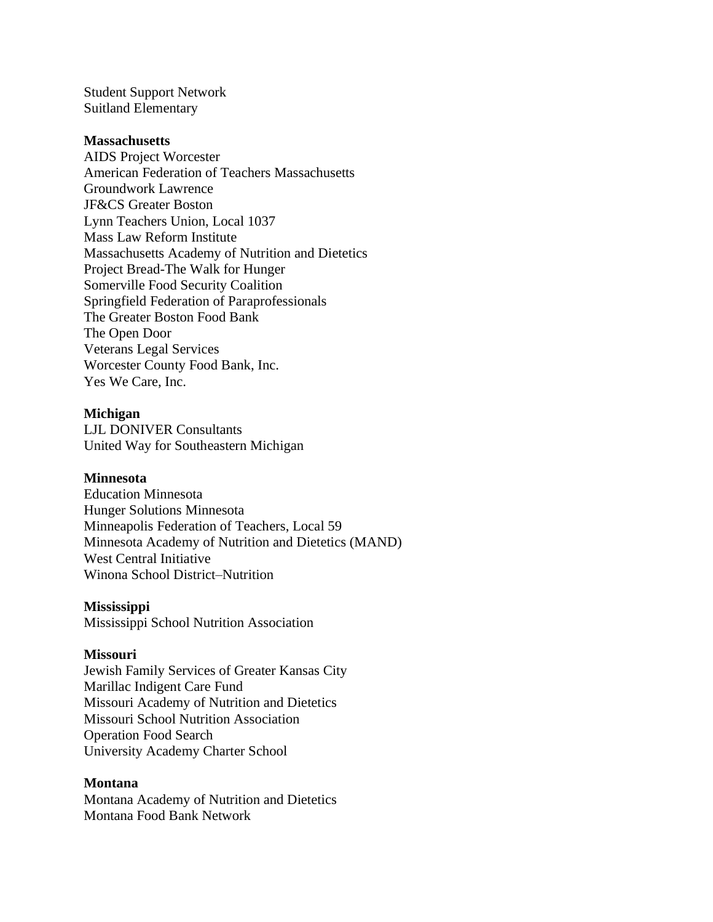Student Support Network Suitland Elementary

## **Massachusetts**

AIDS Project Worcester American Federation of Teachers Massachusetts Groundwork Lawrence JF&CS Greater Boston Lynn Teachers Union, Local 1037 Mass Law Reform Institute Massachusetts Academy of Nutrition and Dietetics Project Bread-The Walk for Hunger Somerville Food Security Coalition Springfield Federation of Paraprofessionals The Greater Boston Food Bank The Open Door Veterans Legal Services Worcester County Food Bank, Inc. Yes We Care, Inc.

### **Michigan**

LJL DONIVER Consultants United Way for Southeastern Michigan

#### **Minnesota**

Education Minnesota Hunger Solutions Minnesota Minneapolis Federation of Teachers, Local 59 Minnesota Academy of Nutrition and Dietetics (MAND) West Central Initiative Winona School District–Nutrition

#### **Mississippi**

Mississippi School Nutrition Association

### **Missouri**

Jewish Family Services of Greater Kansas City Marillac Indigent Care Fund Missouri Academy of Nutrition and Dietetics Missouri School Nutrition Association Operation Food Search University Academy Charter School

#### **Montana**

Montana Academy of Nutrition and Dietetics Montana Food Bank Network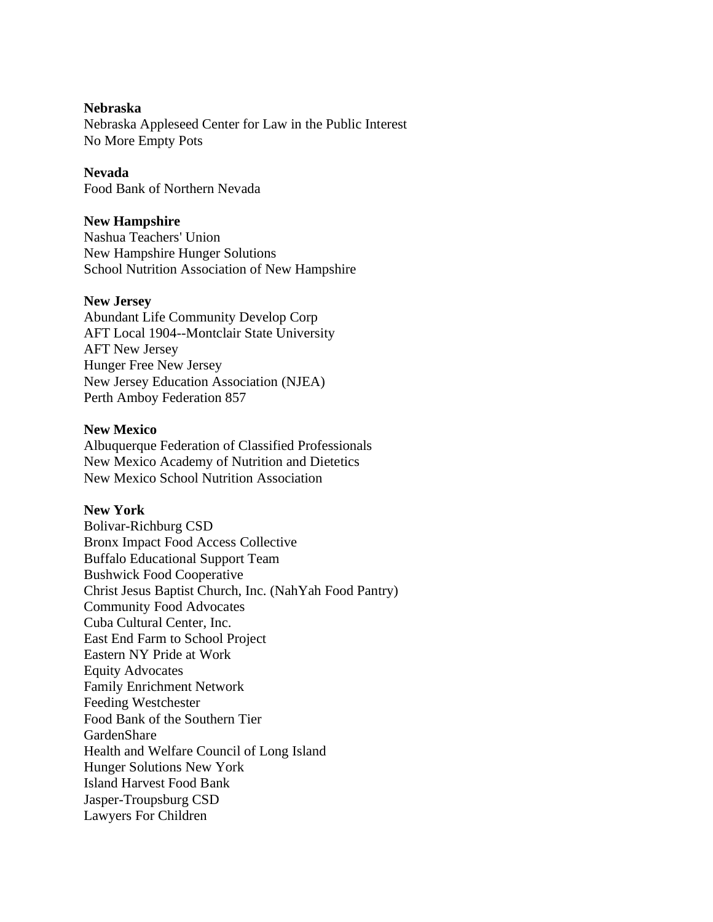# **Nebraska**

Nebraska Appleseed Center for Law in the Public Interest No More Empty Pots

# **Nevada**

Food Bank of Northern Nevada

# **New Hampshire**

Nashua Teachers' Union New Hampshire Hunger Solutions School Nutrition Association of New Hampshire

## **New Jersey**

Abundant Life Community Develop Corp AFT Local 1904--Montclair State University AFT New Jersey Hunger Free New Jersey New Jersey Education Association (NJEA) Perth Amboy Federation 857

# **New Mexico**

Albuquerque Federation of Classified Professionals New Mexico Academy of Nutrition and Dietetics New Mexico School Nutrition Association

# **New York**

Bolivar-Richburg CSD Bronx Impact Food Access Collective Buffalo Educational Support Team Bushwick Food Cooperative Christ Jesus Baptist Church, Inc. (NahYah Food Pantry) Community Food Advocates Cuba Cultural Center, Inc. East End Farm to School Project Eastern NY Pride at Work Equity Advocates Family Enrichment Network Feeding Westchester Food Bank of the Southern Tier GardenShare Health and Welfare Council of Long Island Hunger Solutions New York Island Harvest Food Bank Jasper-Troupsburg CSD Lawyers For Children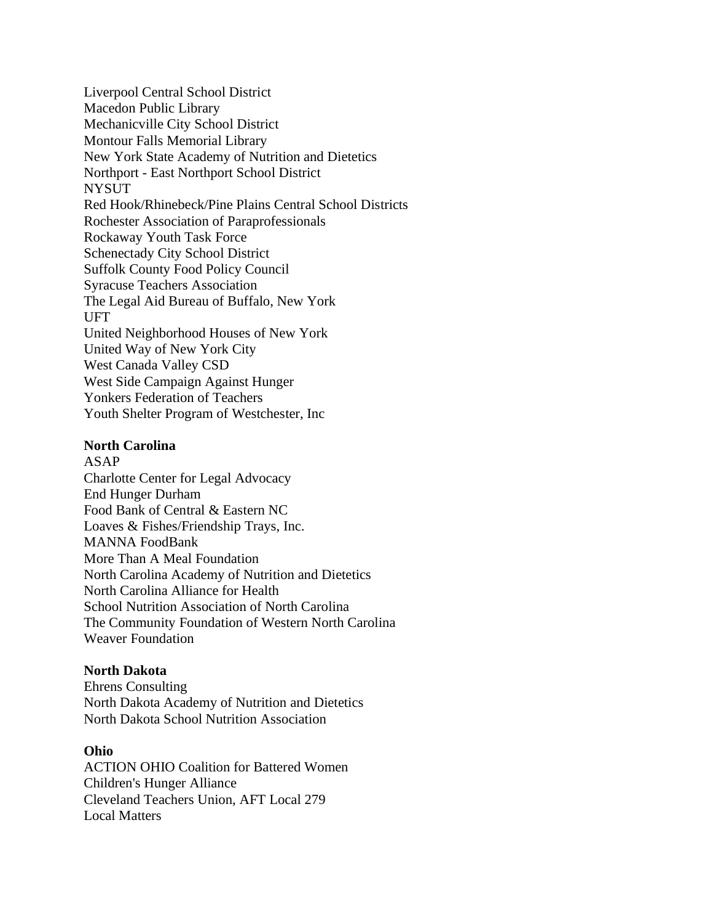Liverpool Central School District Macedon Public Library Mechanicville City School District Montour Falls Memorial Library New York State Academy of Nutrition and Dietetics Northport - East Northport School District **NYSUT** Red Hook/Rhinebeck/Pine Plains Central School Districts Rochester Association of Paraprofessionals Rockaway Youth Task Force Schenectady City School District Suffolk County Food Policy Council Syracuse Teachers Association The Legal Aid Bureau of Buffalo, New York UFT United Neighborhood Houses of New York United Way of New York City West Canada Valley CSD West Side Campaign Against Hunger Yonkers Federation of Teachers Youth Shelter Program of Westchester, Inc

## **North Carolina**

ASAP Charlotte Center for Legal Advocacy End Hunger Durham Food Bank of Central & Eastern NC Loaves & Fishes/Friendship Trays, Inc. MANNA FoodBank More Than A Meal Foundation North Carolina Academy of Nutrition and Dietetics North Carolina Alliance for Health School Nutrition Association of North Carolina The Community Foundation of Western North Carolina Weaver Foundation

## **North Dakota**

Ehrens Consulting North Dakota Academy of Nutrition and Dietetics North Dakota School Nutrition Association

## **Ohio**

ACTION OHIO Coalition for Battered Women Children's Hunger Alliance Cleveland Teachers Union, AFT Local 279 Local Matters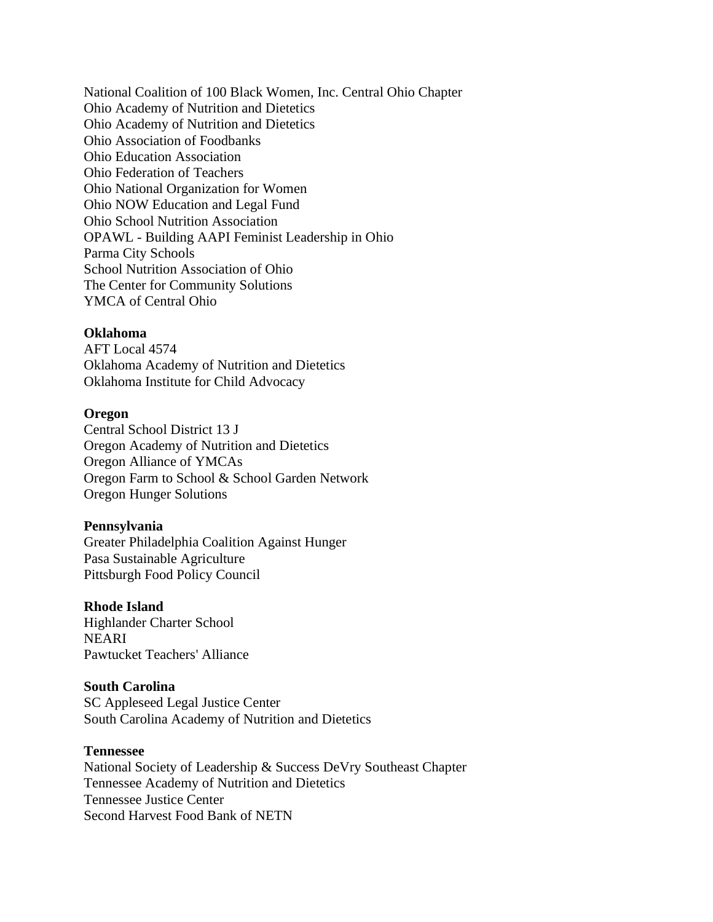National Coalition of 100 Black Women, Inc. Central Ohio Chapter Ohio Academy of Nutrition and Dietetics Ohio Academy of Nutrition and Dietetics Ohio Association of Foodbanks Ohio Education Association Ohio Federation of Teachers Ohio National Organization for Women Ohio NOW Education and Legal Fund Ohio School Nutrition Association OPAWL - Building AAPI Feminist Leadership in Ohio Parma City Schools School Nutrition Association of Ohio The Center for Community Solutions YMCA of Central Ohio

# **Oklahoma**

AFT Local 4574 Oklahoma Academy of Nutrition and Dietetics Oklahoma Institute for Child Advocacy

#### **Oregon**

Central School District 13 J Oregon Academy of Nutrition and Dietetics Oregon Alliance of YMCAs Oregon Farm to School & School Garden Network Oregon Hunger Solutions

### **Pennsylvania**

Greater Philadelphia Coalition Against Hunger Pasa Sustainable Agriculture Pittsburgh Food Policy Council

#### **Rhode Island**

Highlander Charter School NEARI Pawtucket Teachers' Alliance

### **South Carolina**

SC Appleseed Legal Justice Center South Carolina Academy of Nutrition and Dietetics

# **Tennessee**

National Society of Leadership & Success DeVry Southeast Chapter Tennessee Academy of Nutrition and Dietetics Tennessee Justice Center Second Harvest Food Bank of NETN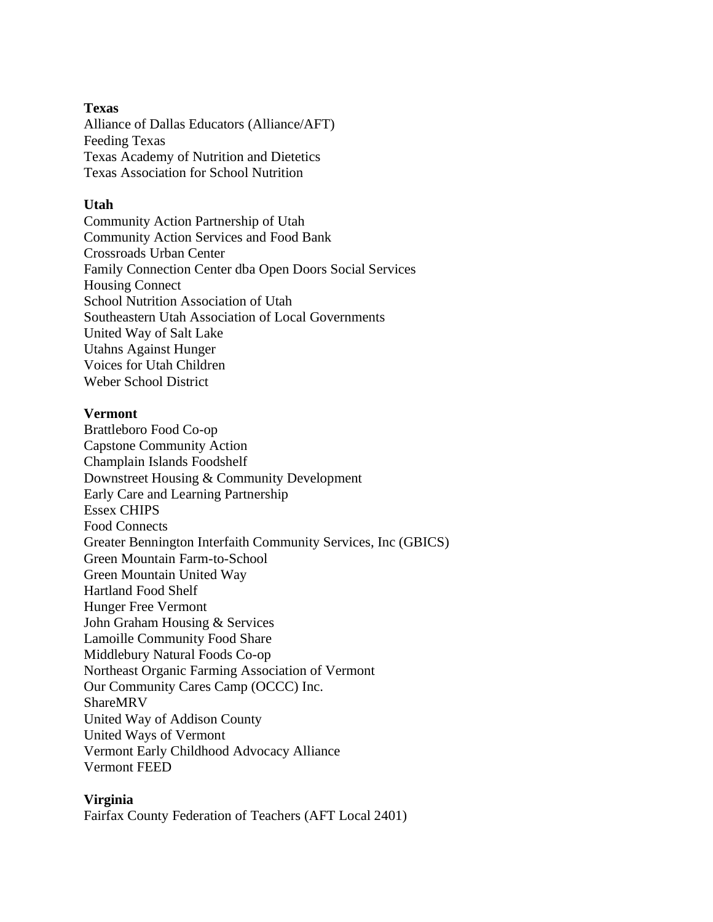# **Texas**

Alliance of Dallas Educators (Alliance/AFT) Feeding Texas Texas Academy of Nutrition and Dietetics Texas Association for School Nutrition

# **Utah**

Community Action Partnership of Utah Community Action Services and Food Bank Crossroads Urban Center Family Connection Center dba Open Doors Social Services Housing Connect School Nutrition Association of Utah Southeastern Utah Association of Local Governments United Way of Salt Lake Utahns Against Hunger Voices for Utah Children Weber School District

# **Vermont**

Brattleboro Food Co-op Capstone Community Action Champlain Islands Foodshelf Downstreet Housing & Community Development Early Care and Learning Partnership Essex CHIPS Food Connects Greater Bennington Interfaith Community Services, Inc (GBICS) Green Mountain Farm-to-School Green Mountain United Way Hartland Food Shelf Hunger Free Vermont John Graham Housing & Services Lamoille Community Food Share Middlebury Natural Foods Co-op Northeast Organic Farming Association of Vermont Our Community Cares Camp (OCCC) Inc. ShareMRV United Way of Addison County United Ways of Vermont Vermont Early Childhood Advocacy Alliance Vermont FEED

## **Virginia**

Fairfax County Federation of Teachers (AFT Local 2401)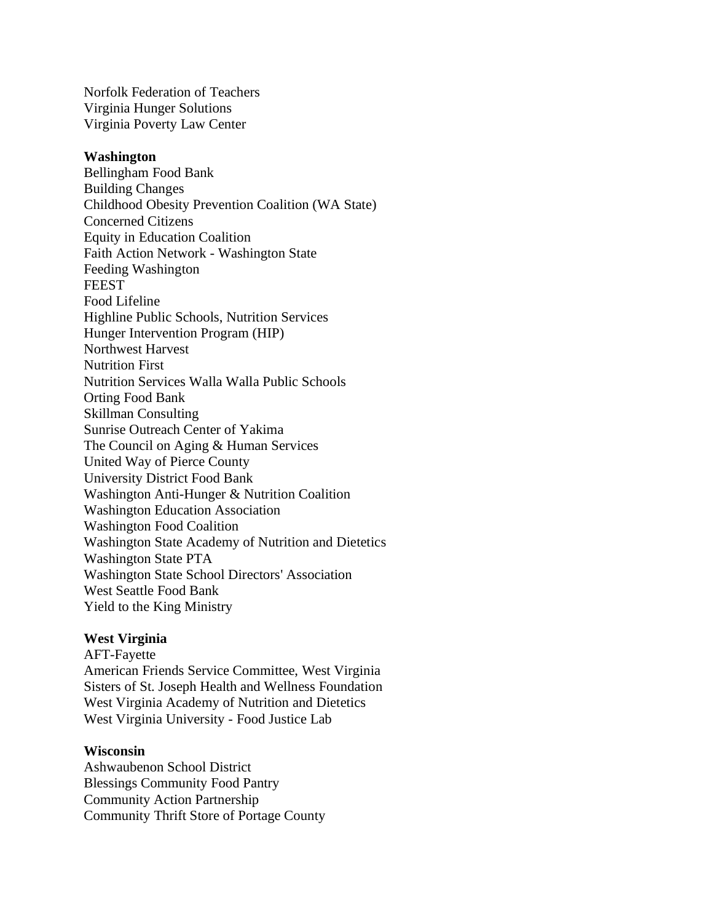Norfolk Federation of Teachers Virginia Hunger Solutions Virginia Poverty Law Center

### **Washington**

Bellingham Food Bank Building Changes Childhood Obesity Prevention Coalition (WA State) Concerned Citizens Equity in Education Coalition Faith Action Network - Washington State Feeding Washington **FEEST** Food Lifeline Highline Public Schools, Nutrition Services Hunger Intervention Program (HIP) Northwest Harvest Nutrition First Nutrition Services Walla Walla Public Schools Orting Food Bank Skillman Consulting Sunrise Outreach Center of Yakima The Council on Aging & Human Services United Way of Pierce County University District Food Bank Washington Anti-Hunger & Nutrition Coalition Washington Education Association Washington Food Coalition Washington State Academy of Nutrition and Dietetics Washington State PTA Washington State School Directors' Association West Seattle Food Bank Yield to the King Ministry

## **West Virginia**

AFT-Fayette American Friends Service Committee, West Virginia Sisters of St. Joseph Health and Wellness Foundation West Virginia Academy of Nutrition and Dietetics West Virginia University - Food Justice Lab

# **Wisconsin**

Ashwaubenon School District Blessings Community Food Pantry Community Action Partnership Community Thrift Store of Portage County